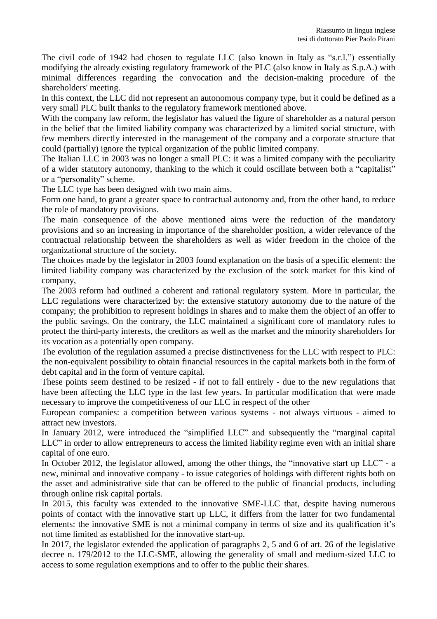The civil code of 1942 had chosen to regulate LLC (also known in Italy as "s.r.l.") essentially modifying the already existing regulatory framework of the PLC (also know in Italy as S.p.A.) with minimal differences regarding the convocation and the decision-making procedure of the shareholders' meeting.

In this context, the LLC did not represent an autonomous company type, but it could be defined as a very small PLC built thanks to the regulatory framework mentioned above.

With the company law reform, the legislator has valued the figure of shareholder as a natural person in the belief that the limited liability company was characterized by a limited social structure, with few members directly interested in the management of the company and a corporate structure that could (partially) ignore the typical organization of the public limited company.

The Italian LLC in 2003 was no longer a small PLC: it was a limited company with the peculiarity of a wider statutory autonomy, thanking to the which it could oscillate between both a "capitalist" or a "personality" scheme.

The LLC type has been designed with two main aims.

Form one hand, to grant a greater space to contractual autonomy and, from the other hand, to reduce the role of mandatory provisions.

The main consequence of the above mentioned aims were the reduction of the mandatory provisions and so an increasing in importance of the shareholder position, a wider relevance of the contractual relationship between the shareholders as well as wider freedom in the choice of the organizational structure of the society.

The choices made by the legislator in 2003 found explanation on the basis of a specific element: the limited liability company was characterized by the exclusion of the sotck market for this kind of company,

The 2003 reform had outlined a coherent and rational regulatory system. More in particular, the LLC regulations were characterized by: the extensive statutory autonomy due to the nature of the company; the prohibition to represent holdings in shares and to make them the object of an offer to the public savings. On the contrary, the LLC maintained a significant core of mandatory rules to protect the third-party interests, the creditors as well as the market and the minority shareholders for its vocation as a potentially open company.

The evolution of the regulation assumed a precise distinctiveness for the LLC with respect to PLC: the non-equivalent possibility to obtain financial resources in the capital markets both in the form of debt capital and in the form of venture capital.

These points seem destined to be resized - if not to fall entirely - due to the new regulations that have been affecting the LLC type in the last few years. In particular modification that were made necessary to improve the competitiveness of our LLC in respect of the other

European companies: a competition between various systems - not always virtuous - aimed to attract new investors.

In January 2012, were introduced the "simplified LLC" and subsequently the "marginal capital" LLC" in order to allow entrepreneurs to access the limited liability regime even with an initial share capital of one euro.

In October 2012, the legislator allowed, among the other things, the "innovative start up LLC" - a new, minimal and innovative company - to issue categories of holdings with different rights both on the asset and administrative side that can be offered to the public of financial products, including through online risk capital portals.

In 2015, this faculty was extended to the innovative SME-LLC that, despite having numerous points of contact with the innovative start up LLC, it differs from the latter for two fundamental elements: the innovative SME is not a minimal company in terms of size and its qualification it's not time limited as established for the innovative start-up.

In 2017, the legislator extended the application of paragraphs 2, 5 and 6 of art. 26 of the legislative decree n. 179/2012 to the LLC-SME, allowing the generality of small and medium-sized LLC to access to some regulation exemptions and to offer to the public their shares.